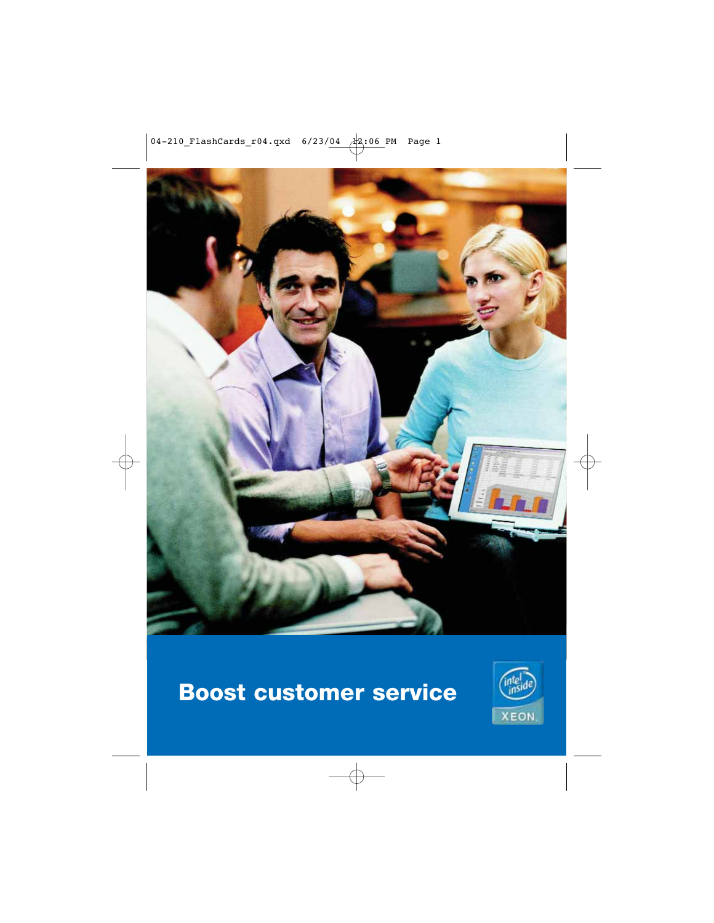

# **Boost customer service**

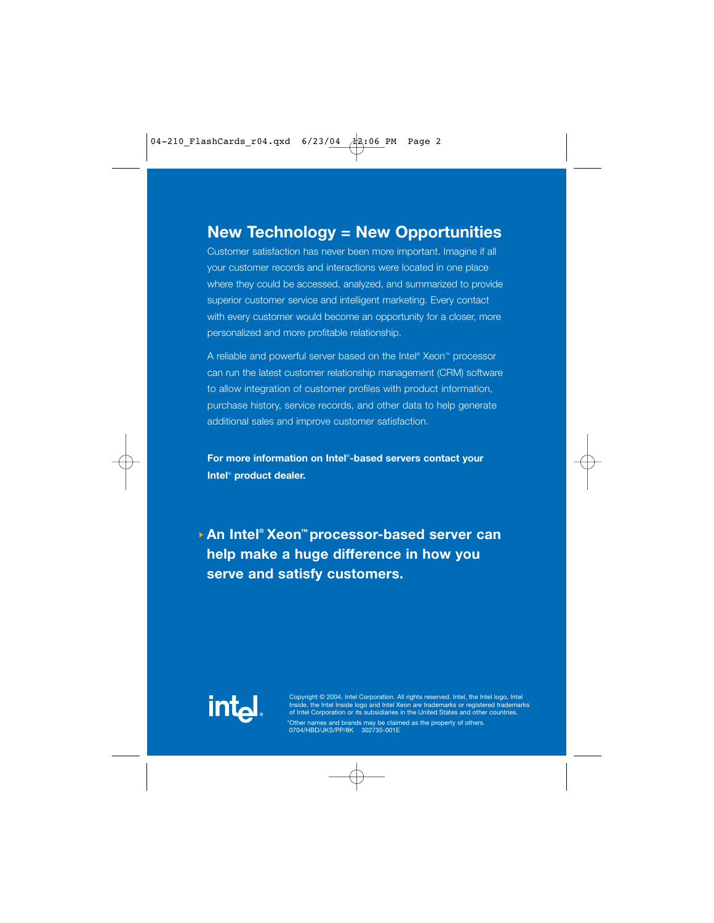Customer satisfaction has never been more important. Imagine if all your customer records and interactions were located in one place where they could be accessed, analyzed, and summarized to provide superior customer service and intelligent marketing. Every contact with every customer would become an opportunity for a closer, more personalized and more profitable relationship.

A reliable and powerful server based on the Intel® Xeon™ processor can run the latest customer relationship management (CRM) software to allow integration of customer profiles with product information, purchase history, service records, and other data to help generate additional sales and improve customer satisfaction.

**For more information on Intel**® **-based servers contact your Intel**® **product dealer.**

**An Intel® Xeon™ processor-based server can help make a huge difference in how you serve and satisfy customers.**



Copyright © 2004, Intel Corporation. All rights reserved. Intel, the Intel logo, Intel Inside, the Intel Inside logo and Intel Xeon are trademarks or registered trademarks of Intel Corporation or its subsidiaries in the United States and other countries.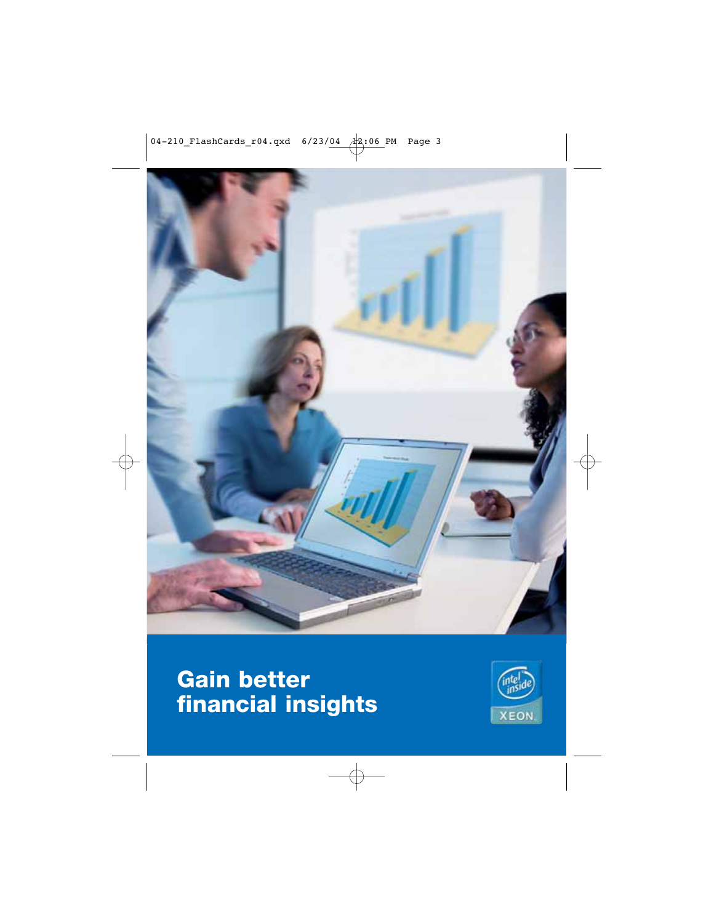

### **Gain better financial insights**

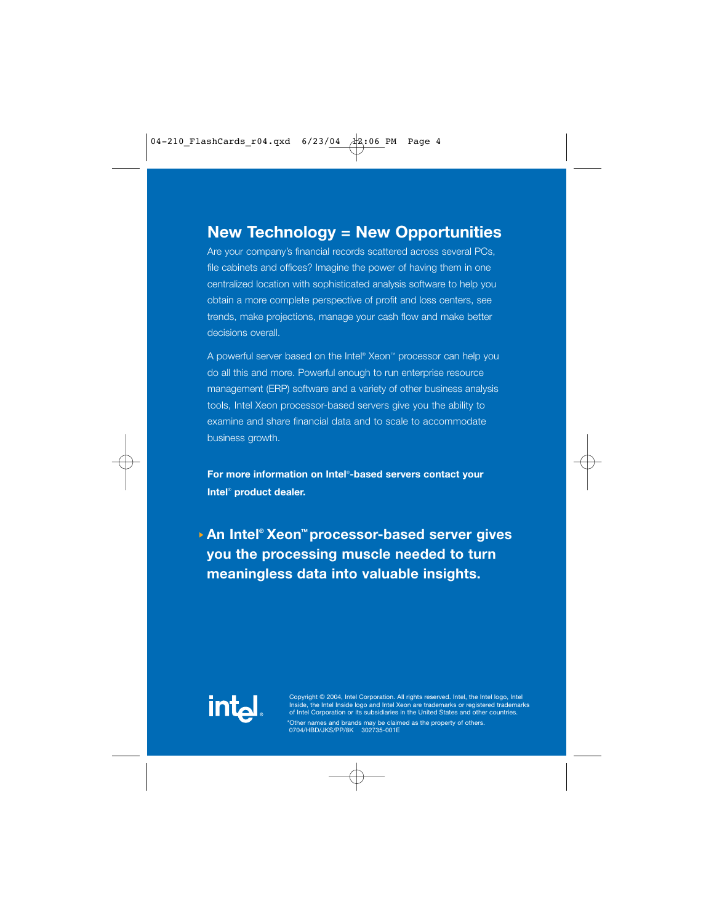Are your company's financial records scattered across several PCs, file cabinets and offices? Imagine the power of having them in one centralized location with sophisticated analysis software to help you obtain a more complete perspective of profit and loss centers, see trends, make projections, manage your cash flow and make better decisions overall.

A powerful server based on the Intel® Xeon™ processor can help you do all this and more. Powerful enough to run enterprise resource management (ERP) software and a variety of other business analysis tools, Intel Xeon processor-based servers give you the ability to examine and share financial data and to scale to accommodate business growth.

**For more information on Intel**® **-based servers contact your Intel**® **product dealer.**

**An Intel® Xeon™ processor-based server gives you the processing muscle needed to turn meaningless data into valuable insights.**



Copyright © 2004, Intel Corporation. All rights reserved. Intel, the Intel logo, Intel Inside, the Intel Inside logo and Intel Xeon are trademarks or registered trademarks of Intel Corporation or its subsidiaries in the United States and other countries.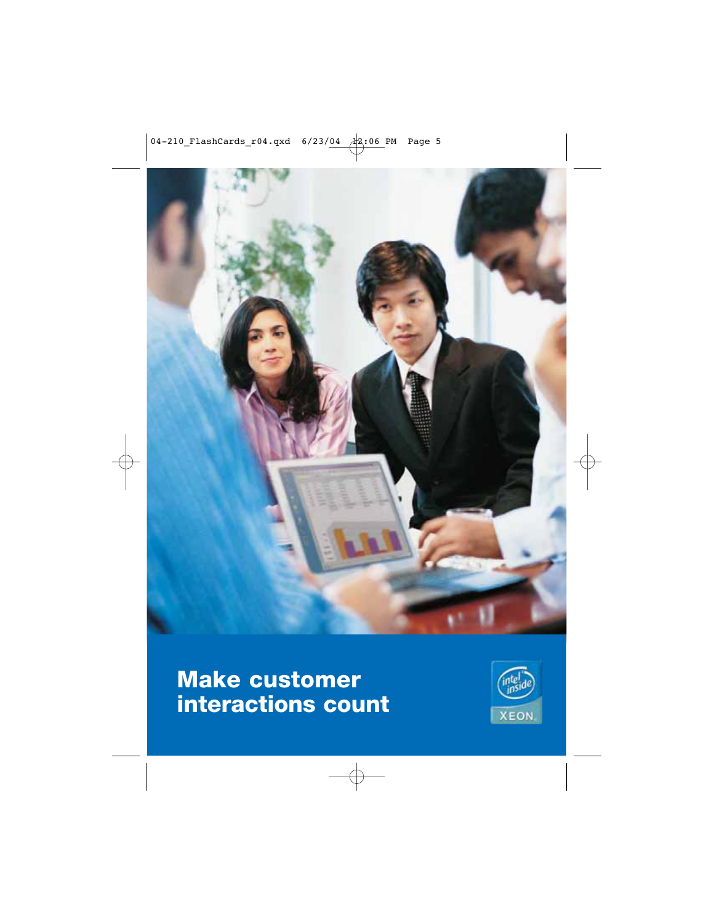

## **Make customer interactions count**

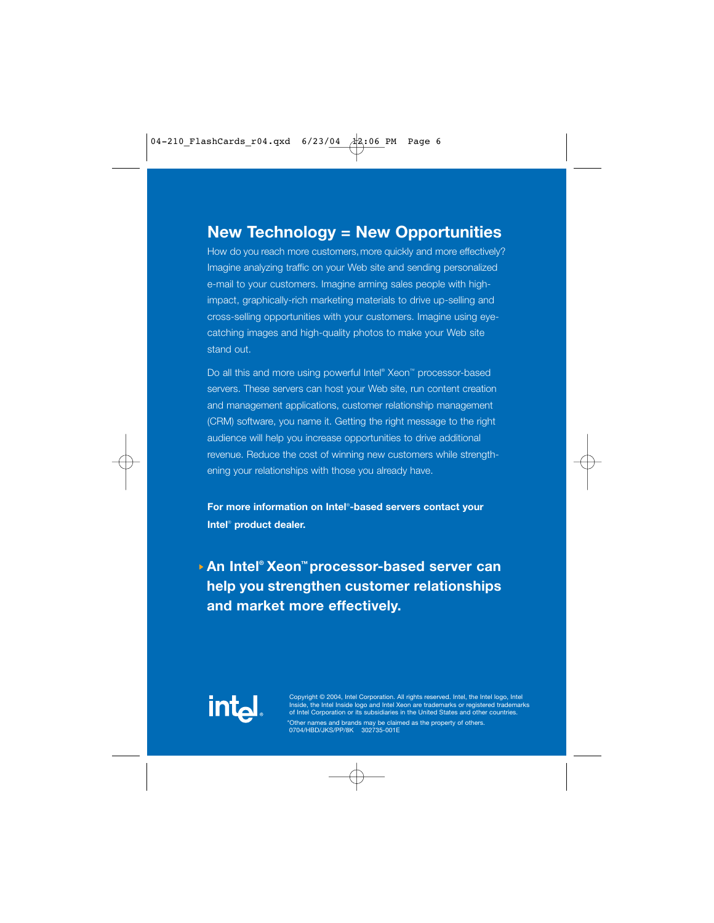How do you reach more customers, more quickly and more effectively? Imagine analyzing traffic on your Web site and sending personalized e-mail to your customers. Imagine arming sales people with highimpact, graphically-rich marketing materials to drive up-selling and cross-selling opportunities with your customers. Imagine using eyecatching images and high-quality photos to make your Web site stand out.

Do all this and more using powerful Intel® Xeon™ processor-based servers. These servers can host your Web site, run content creation and management applications, customer relationship management (CRM) software, you name it. Getting the right message to the right audience will help you increase opportunities to drive additional revenue. Reduce the cost of winning new customers while strengthening your relationships with those you already have.

**For more information on Intel**® **-based servers contact your Intel**® **product dealer.**

**An Intel® Xeon™ processor-based server can help you strengthen customer relationships and market more effectively.**



Copyright © 2004, Intel Corporation. All rights reserved. Intel, the Intel logo, Intel Inside, the Intel Inside logo and Intel Xeon are trademarks or registered trademarks of Intel Corporation or its subsidiaries in the United States and other countries.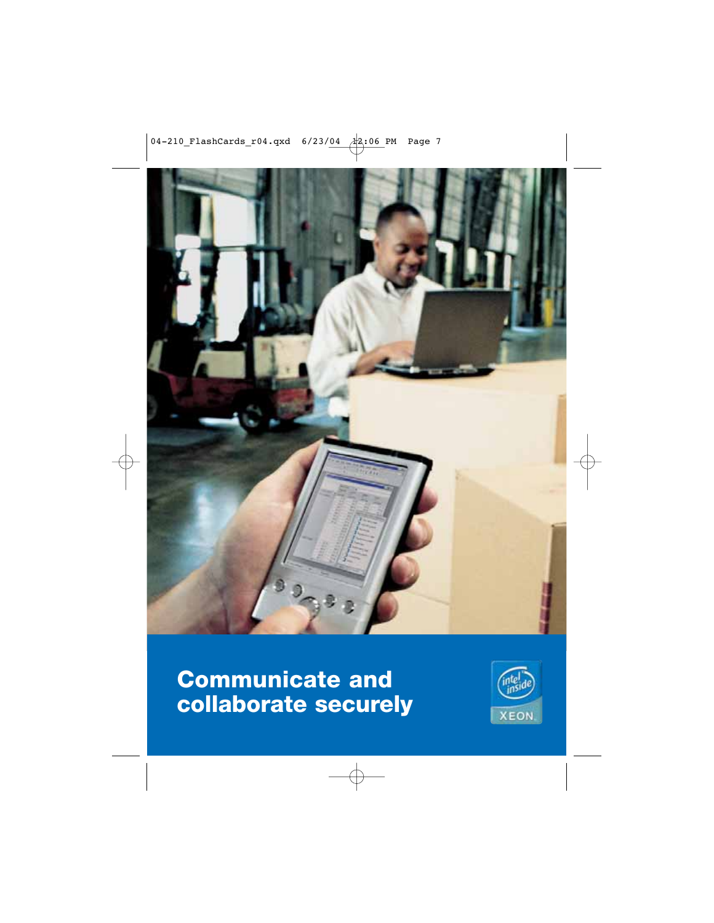

# **Communicate and collaborate securely**

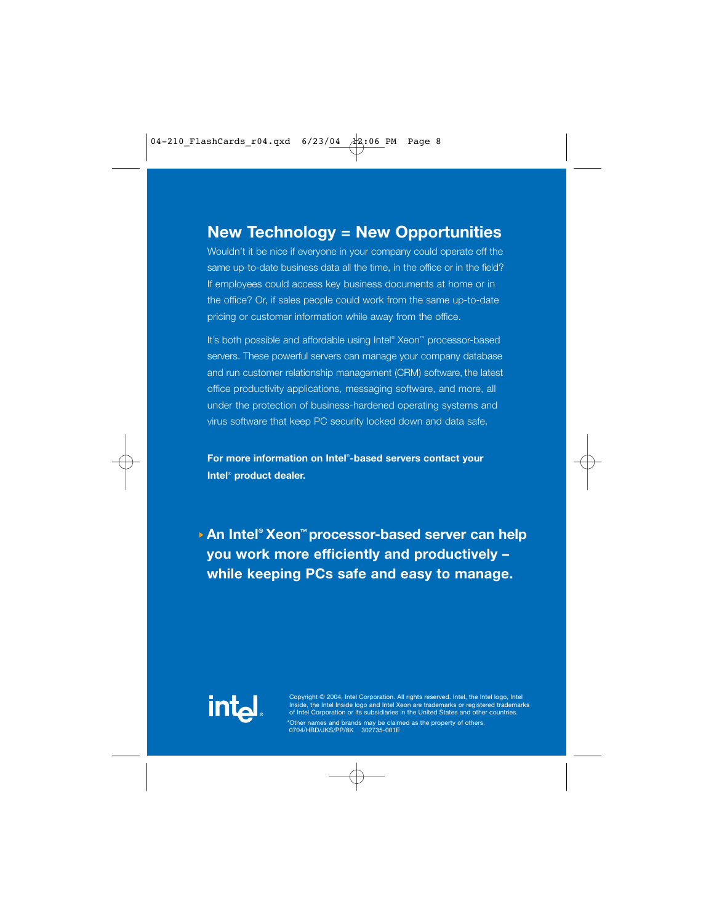Wouldn't it be nice if everyone in your company could operate off the same up-to-date business data all the time, in the office or in the field? If employees could access key business documents at home or in the office? Or, if sales people could work from the same up-to-date pricing or customer information while away from the office.

It's both possible and affordable using Intel® Xeon™ processor-based servers. These powerful servers can manage your company database and run customer relationship management (CRM) software, the latest office productivity applications, messaging software, and more, all under the protection of business-hardened operating systems and virus software that keep PC security locked down and data safe.

**For more information on Intel**® **-based servers contact your Intel**® **product dealer.**

**An Intel® Xeon™ processor-based server can help you work more efficiently and productively – while keeping PCs safe and easy to manage.**



Copyright © 2004, Intel Corporation. All rights reserved. Intel, the Intel logo, Intel Inside, the Intel Inside logo and Intel Xeon are trademarks or registered trademarks of Intel Corporation or its subsidiaries in the United States and other countries.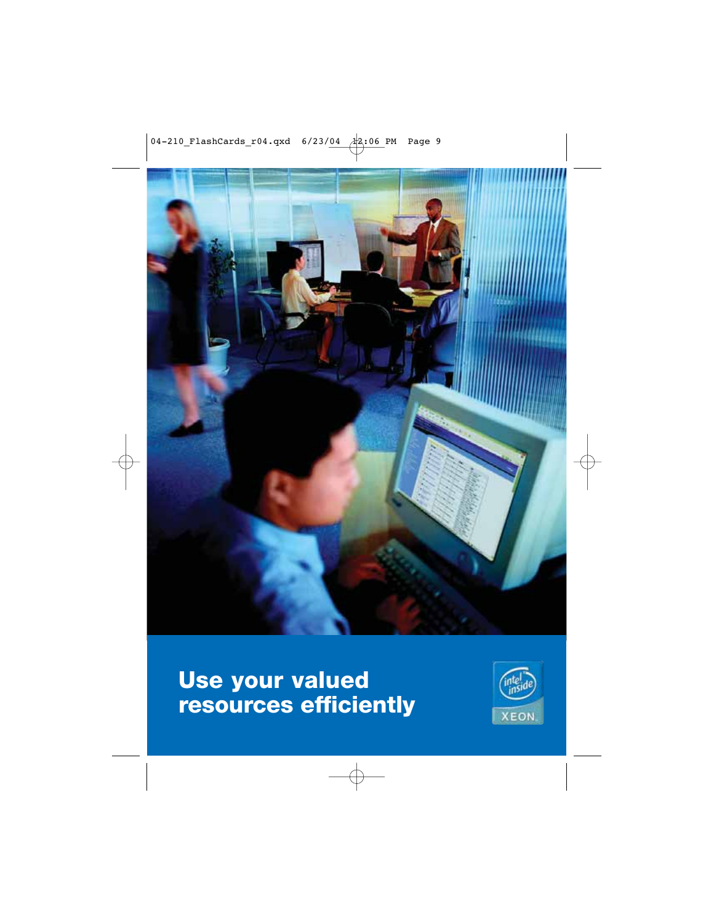

### **Use your valued resources efficiently**